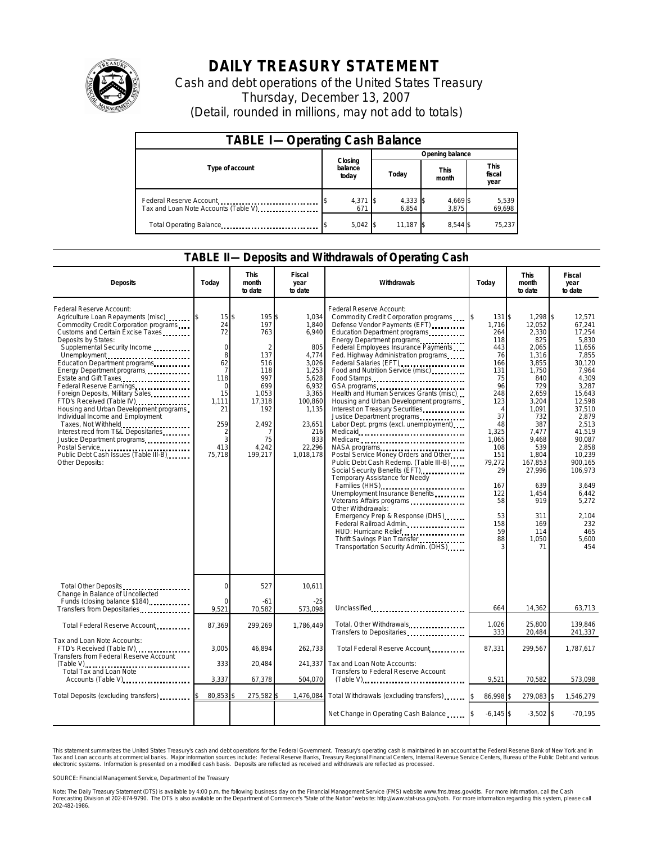

## **DAILY TREASURY STATEMENT**

Cash and debt operations of the United States Treasury Thursday, December 13, 2007 (Detail, rounded in millions, may not add to totals)

| <b>TABLE I-Operating Cash Balance</b> |                             |                   |                      |                               |  |  |  |
|---------------------------------------|-----------------------------|-------------------|----------------------|-------------------------------|--|--|--|
|                                       |                             | Opening balance   |                      |                               |  |  |  |
| Type of account                       | Closing<br>balance<br>today | Today             | <b>This</b><br>month | <b>This</b><br>fiscal<br>year |  |  |  |
| Tax and Loan Note Accounts (Table V)  | 4,371<br>671                | 4,333 \$<br>6.854 | 4,669 \$<br>3.875    | 5,539<br>69,698               |  |  |  |
| Total Operating Balance               | $5,042$ \$                  | 11.187 \$         | 8.544 \$             | 75,237                        |  |  |  |

## **TABLE II—Deposits and Withdrawals of Operating Cash**

| <b>Deposits</b>                                                                                                                                                                                                                                                                                                                                                                                                                                                                                                                                                                                                                                                  | Today                                                                                                                                | <b>This</b><br>month<br>to date                                                                                                                | Fiscal<br>year<br>to date                                                                                                                                     | Withdrawals                                                                                                                                                                                                                                                                                                                                                                                                                                                                                                                                                                                                                                                                                                                                                                                                                                                                                                                                                  | Today                                                                                                                                                                                                        | <b>This</b><br>month<br>to date                                                                                                                                                                                                              | Fiscal<br>year<br>to date                                                                                                                                                                                                                                                        |
|------------------------------------------------------------------------------------------------------------------------------------------------------------------------------------------------------------------------------------------------------------------------------------------------------------------------------------------------------------------------------------------------------------------------------------------------------------------------------------------------------------------------------------------------------------------------------------------------------------------------------------------------------------------|--------------------------------------------------------------------------------------------------------------------------------------|------------------------------------------------------------------------------------------------------------------------------------------------|---------------------------------------------------------------------------------------------------------------------------------------------------------------|--------------------------------------------------------------------------------------------------------------------------------------------------------------------------------------------------------------------------------------------------------------------------------------------------------------------------------------------------------------------------------------------------------------------------------------------------------------------------------------------------------------------------------------------------------------------------------------------------------------------------------------------------------------------------------------------------------------------------------------------------------------------------------------------------------------------------------------------------------------------------------------------------------------------------------------------------------------|--------------------------------------------------------------------------------------------------------------------------------------------------------------------------------------------------------------|----------------------------------------------------------------------------------------------------------------------------------------------------------------------------------------------------------------------------------------------|----------------------------------------------------------------------------------------------------------------------------------------------------------------------------------------------------------------------------------------------------------------------------------|
| Federal Reserve Account:<br>Agriculture Loan Repayments (misc)<br>Commodity Credit Corporation programs<br>Customs and Certain Excise Taxes<br>Deposits by States:<br>Supplemental Security Income<br>Unemployment<br>Education Department programs<br>Energy Department programs<br>Estate and Gift Taxes<br>Federal Reserve Earnings<br>Foreign Deposits, Military Sales<br>FTD's Received (Table IV)<br>Housing and Urban Development programs<br>Individual Income and Employment<br>Taxes, Not Withheld<br>Interest recd from T&L Depositaries<br>Justice Department programs<br>Postal Service<br>Public Debt Cash Issues (Table III-B)<br>Other Deposits: | 15<br>24<br>72<br>$\mathbf 0$<br>8<br>62<br>$\overline{7}$<br>118<br>$\Omega$<br>15<br>1,111<br>21<br>259<br>2<br>3<br>413<br>75,718 | 195<br>\$<br>197<br>763<br>$\mathfrak{D}$<br>137<br>516<br>118<br>997<br>699<br>1,053<br>17,318<br>192<br>2,492<br>7<br>75<br>4,242<br>199,217 | 1,034<br>\$<br>1,840<br>6,940<br>805<br>4,774<br>3,026<br>1,253<br>5,628<br>6,932<br>3,365<br>100,860<br>1,135<br>23,651<br>216<br>833<br>22,296<br>1,018,178 | Federal Reserve Account:<br>Commodity Credit Corporation programs<br>Defense Vendor Payments (EFT)<br>Education Department programs<br>Energy Department programs<br>Federal Employees Insurance Payments<br>Fed. Highway Administration programs<br>Federal Salaries (EFT)<br>Food and Nutrition Service (misc)<br>Food Stamps<br>Health and Human Services Grants (misc)<br>Housing and Urban Development programs<br>Interest on Treasury Securities<br>Justice Department programs<br>Labor Dept. prgms (excl. unemployment).<br>Medicare<br>NASA programs<br>Postal Service Money Orders and Other<br>Public Debt Cash Redemp. (Table III-B)<br>Social Security Benefits (EFT)<br>Temporary Assistance for Needy<br>Families (HHS)<br>Unemployment Insurance Benefits<br>Veterans Affairs programs<br>Other Withdrawals:<br>Emergency Prep & Response (DHS)<br>Federal Railroad Admin.<br>HUD: Hurricane Relief<br>Transportation Security Admin. (DHS) | 131S<br>l\$<br>1,716<br>264<br>118<br>443<br>76<br>166<br>131<br>75<br>96<br>248<br>123<br>$\Delta$<br>37<br>48<br>1,325<br>1,065<br>108<br>151<br>79,272<br>29<br>167<br>122<br>58<br>53<br>158<br>59<br>88 | 1,298<br>12,052<br>2,330<br>825<br>2,065<br>1,316<br>3,855<br>1,750<br>840<br>729<br>2,659<br>3,204<br>1,091<br>732<br>387<br>7,477<br>9,468<br>539<br>1,804<br>167,853<br>27,996<br>639<br>1,454<br>919<br>311<br>169<br>114<br>1,050<br>71 | \$<br>12,571<br>67,241<br>17,254<br>5,830<br>11,656<br>7,855<br>30,120<br>7,964<br>4,309<br>3,287<br>15,643<br>12,598<br>37,510<br>2,879<br>2,513<br>41.519<br>90,087<br>2,858<br>10,239<br>900.165<br>106,973<br>3,649<br>6,442<br>5,272<br>2,104<br>232<br>465<br>5,600<br>454 |
| Total Other Deposits<br>Change in Balance of Uncollected                                                                                                                                                                                                                                                                                                                                                                                                                                                                                                                                                                                                         | $\mathbf 0$                                                                                                                          | 527                                                                                                                                            | 10,611                                                                                                                                                        |                                                                                                                                                                                                                                                                                                                                                                                                                                                                                                                                                                                                                                                                                                                                                                                                                                                                                                                                                              |                                                                                                                                                                                                              |                                                                                                                                                                                                                                              |                                                                                                                                                                                                                                                                                  |
| Funds (closing balance \$184)<br>Transfers from Depositaries                                                                                                                                                                                                                                                                                                                                                                                                                                                                                                                                                                                                     | $\Omega$<br>9.521                                                                                                                    | -61<br>70.582                                                                                                                                  | $-25$<br>573.098                                                                                                                                              | Unclassified                                                                                                                                                                                                                                                                                                                                                                                                                                                                                                                                                                                                                                                                                                                                                                                                                                                                                                                                                 | 664                                                                                                                                                                                                          | 14,362                                                                                                                                                                                                                                       | 63,713                                                                                                                                                                                                                                                                           |
| Total Federal Reserve Account                                                                                                                                                                                                                                                                                                                                                                                                                                                                                                                                                                                                                                    | 87,369                                                                                                                               | 299,269                                                                                                                                        | 1,786,449                                                                                                                                                     | Total, Other Withdrawals<br>Transfers to Depositaries                                                                                                                                                                                                                                                                                                                                                                                                                                                                                                                                                                                                                                                                                                                                                                                                                                                                                                        | 1,026<br>333                                                                                                                                                                                                 | 25,800<br>20,484                                                                                                                                                                                                                             | 139,846<br>241,337                                                                                                                                                                                                                                                               |
| Tax and Loan Note Accounts:<br>FTD's Received (Table IV)<br><b>Transfers from Federal Reserve Account</b>                                                                                                                                                                                                                                                                                                                                                                                                                                                                                                                                                        | 3.005                                                                                                                                | 46.894                                                                                                                                         | 262.733                                                                                                                                                       | Total Federal Reserve Account                                                                                                                                                                                                                                                                                                                                                                                                                                                                                                                                                                                                                                                                                                                                                                                                                                                                                                                                | 87,331                                                                                                                                                                                                       | 299.567                                                                                                                                                                                                                                      | 1,787,617                                                                                                                                                                                                                                                                        |
| (Table V)<br>Total Tax and Loan Note<br>Accounts (Table V)                                                                                                                                                                                                                                                                                                                                                                                                                                                                                                                                                                                                       | 333                                                                                                                                  | 20,484                                                                                                                                         | 241,337                                                                                                                                                       | Tax and Loan Note Accounts:<br>Transfers to Federal Reserve Account                                                                                                                                                                                                                                                                                                                                                                                                                                                                                                                                                                                                                                                                                                                                                                                                                                                                                          |                                                                                                                                                                                                              |                                                                                                                                                                                                                                              |                                                                                                                                                                                                                                                                                  |
|                                                                                                                                                                                                                                                                                                                                                                                                                                                                                                                                                                                                                                                                  | 3,337                                                                                                                                | 67,378                                                                                                                                         | 504,070                                                                                                                                                       | $(Table V)$                                                                                                                                                                                                                                                                                                                                                                                                                                                                                                                                                                                                                                                                                                                                                                                                                                                                                                                                                  | 9.521                                                                                                                                                                                                        | 70,582                                                                                                                                                                                                                                       | 573,098                                                                                                                                                                                                                                                                          |
| Total Deposits (excluding transfers) [100]                                                                                                                                                                                                                                                                                                                                                                                                                                                                                                                                                                                                                       | 80,853                                                                                                                               | 275,582 \$                                                                                                                                     | 1,476,084                                                                                                                                                     | Total Withdrawals (excluding transfers)                                                                                                                                                                                                                                                                                                                                                                                                                                                                                                                                                                                                                                                                                                                                                                                                                                                                                                                      | 86,998                                                                                                                                                                                                       | 279,083                                                                                                                                                                                                                                      | 1,546,279                                                                                                                                                                                                                                                                        |
|                                                                                                                                                                                                                                                                                                                                                                                                                                                                                                                                                                                                                                                                  |                                                                                                                                      |                                                                                                                                                |                                                                                                                                                               | Net Change in Operating Cash Balance                                                                                                                                                                                                                                                                                                                                                                                                                                                                                                                                                                                                                                                                                                                                                                                                                                                                                                                         | $-6,145$ \$                                                                                                                                                                                                  | $-3,502$ \$                                                                                                                                                                                                                                  | $-70,195$                                                                                                                                                                                                                                                                        |

This statement summarizes the United States Treasury's cash and debt operations for the Federal Government. Treasury's operating cash is maintained in an account at the Federal Reserve Bank of New York and in<br>Tax and Loan narizes the United States Treasury's cash and debt operations for the Federal Government. Treasury's operating cash is maintained in an account at the Federal Reserve Bank of New York and in<br>nts at commercial banks. Major

SOURCE: Financial Management Service, Department of the Treasury

Note: The Daily Treasury Statement (DTS) is available by 4:00 p.m. the following business day on the Financial Management Service (FMS) website www.fms.treas.gov/dts. For more information, call the Cash<br>Forecasting Divisio 202-482-1986.